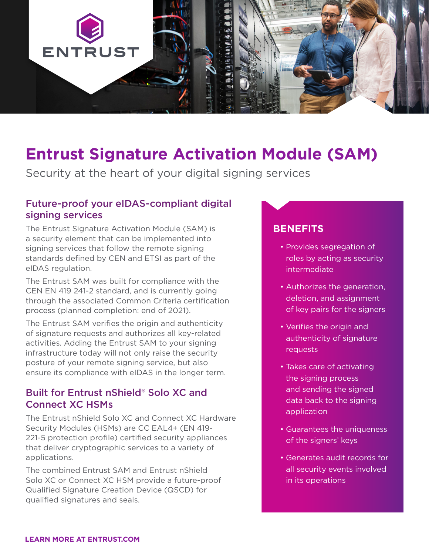

## **Entrust Signature Activation Module (SAM)**

Security at the heart of your digital signing services

### Future-proof your eIDAS-compliant digital signing services

The Entrust Signature Activation Module (SAM) is a security element that can be implemented into signing services that follow the remote signing standards defined by CEN and ETSI as part of the eIDAS regulation.

The Entrust SAM was built for compliance with the CEN EN 419 241-2 standard, and is currently going through the associated Common Criteria certification process (planned completion: end of 2021).

The Entrust SAM verifies the origin and authenticity of signature requests and authorizes all key-related activities. Adding the Entrust SAM to your signing infrastructure today will not only raise the security posture of your remote signing service, but also ensure its compliance with eIDAS in the longer term.

#### Built for Entrust nShield® Solo XC and Connect XC HSMs

The Entrust nShield Solo XC and Connect XC Hardware Security Modules (HSMs) are CC EAL4+ (EN 419- 221-5 protection profile) certified security appliances that deliver cryptographic services to a variety of applications.

The combined Entrust SAM and Entrust nShield Solo XC or Connect XC HSM provide a future-proof Qualified Signature Creation Device (QSCD) for qualified signatures and seals.

#### **BENEFITS**

- Provides segregation of roles by acting as security intermediate
- Authorizes the generation, deletion, and assignment of key pairs for the signers
- Verifies the origin and authenticity of signature requests
- Takes care of activating the signing process and sending the signed data back to the signing application
- Guarantees the uniqueness of the signers' keys
- Generates audit records for all security events involved in its operations